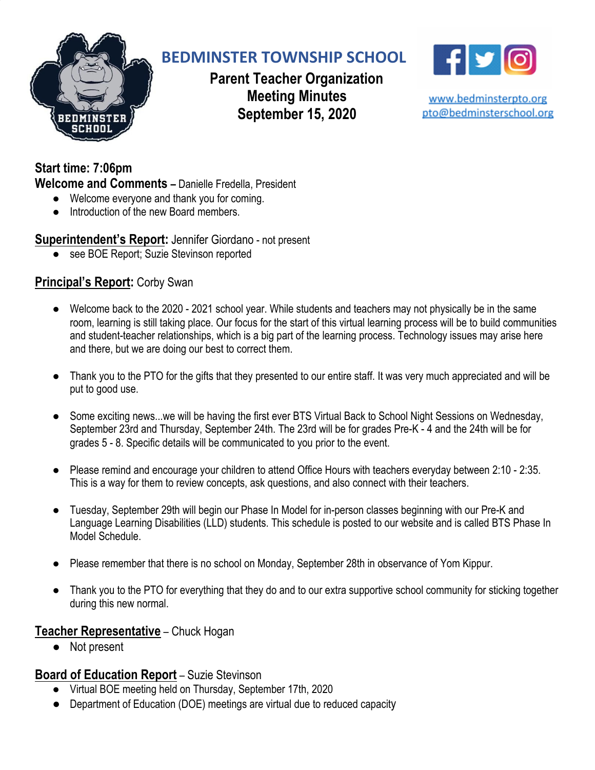

# **BEDMINSTER TOWNSHIP SCHOOL**

**Parent Teacher Organization Meeting Minutes September 15, 2020**



www.bedminsterpto.org pto@bedminsterschool.org

**Start time: 7:06pm Welcome and Comments –** Danielle Fredella, President

- Welcome everyone and thank you for coming.
- Introduction of the new Board members.

# **Superintendent's Report:** Jennifer Giordano - not present

● see BOE Report; Suzie Stevinson reported

# **Principal's Report:** Corby Swan

- Welcome back to the 2020 2021 school year. While students and teachers may not physically be in the same room, learning is still taking place. Our focus for the start of this virtual learning process will be to build communities and student-teacher relationships, which is a big part of the learning process. Technology issues may arise here and there, but we are doing our best to correct them.
- Thank you to the PTO for the gifts that they presented to our entire staff. It was very much appreciated and will be put to good use.
- Some exciting news...we will be having the first ever BTS Virtual Back to School Night Sessions on Wednesday, September 23rd and Thursday, September 24th. The 23rd will be for grades Pre-K - 4 and the 24th will be for grades 5 - 8. Specific details will be communicated to you prior to the event.
- Please remind and encourage your children to attend Office Hours with teachers everyday between 2:10 2:35. This is a way for them to review concepts, ask questions, and also connect with their teachers.
- Tuesday, September 29th will begin our Phase In Model for in-person classes beginning with our Pre-K and Language Learning Disabilities (LLD) students. This schedule is posted to our website and is called BTS Phase In Model Schedule.
- Please remember that there is no school on Monday, September 28th in observance of Yom Kippur.
- Thank you to the PTO for everything that they do and to our extra supportive school community for sticking together during this new normal.

## **Teacher Representative** – Chuck Hogan

● Not present

## **Board of Education Report** – Suzie Stevinson

- Virtual BOE meeting held on Thursday, September 17th, 2020
- Department of Education (DOE) meetings are virtual due to reduced capacity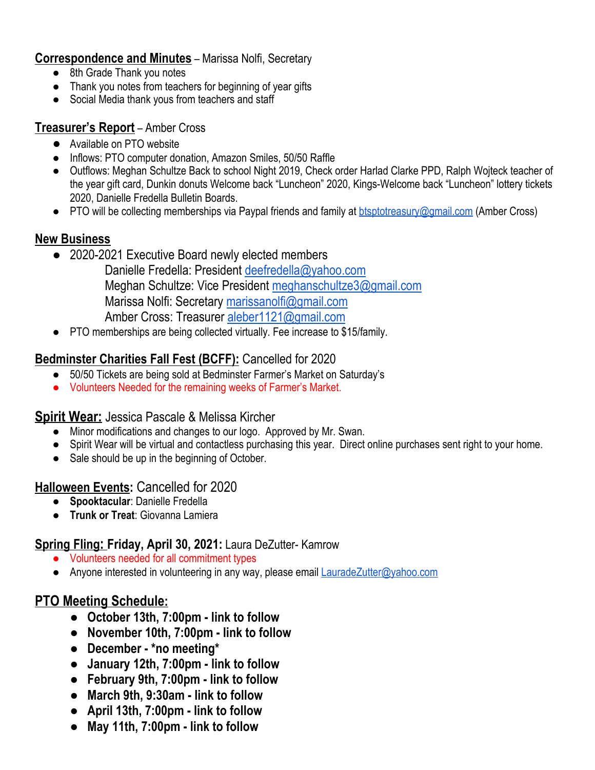#### **Correspondence and Minutes** – Marissa Nolfi, Secretary

- 8th Grade Thank you notes
- Thank you notes from teachers for beginning of year gifts
- Social Media thank yous from teachers and staff

#### **Treasurer's Report** – Amber Cross

- **●** Available on PTO website
- Inflows: PTO computer donation, Amazon Smiles, 50/50 Raffle
- Outflows: Meghan Schultze Back to school Night 2019, Check order Harlad Clarke PPD, Ralph Wojteck teacher of the year gift card, Dunkin donuts Welcome back "Luncheon" 2020, Kings-Welcome back "Luncheon" lottery tickets 2020, Danielle Fredella Bulletin Boards.
- PTO will be collecting memberships via Paypal friends and family at **btsptotreasury@gmail.com** (Amber Cross)

## **New Business**

- 2020-2021 Executive Board newly elected members
	- Danielle Fredella: President [deefredella@yahoo.com](mailto:deefredella@yahoo.com) Meghan Schultze: Vice President [meghanschultze3@gmail.com](mailto:meghanschultze3@gmail.com) Marissa Nolfi: Secretary [marissanolfi@gmail.com](mailto:marissanolfi@gmail.com) Amber Cross: Treasurer [aleber1121@gmail.com](mailto:aleber1121@gmail.com)
- PTO memberships are being collected virtually. Fee increase to \$15/family.

# **Bedminster Charities Fall Fest (BCFF):** Cancelled for 2020

- 50/50 Tickets are being sold at Bedminster Farmer's Market on Saturday's
- Volunteers Needed for the remaining weeks of Farmer's Market.

## **Spirit Wear:** Jessica Pascale & Melissa Kircher

- Minor modifications and changes to our logo. Approved by Mr. Swan.
- Spirit Wear will be virtual and contactless purchasing this year. Direct online purchases sent right to your home.
- Sale should be up in the beginning of October.

## **Halloween Events:** Cancelled for 2020

- **Spooktacular**: Danielle Fredella
- **Trunk or Treat**: Giovanna Lamiera

## **Spring Fling: Friday, April 30, 2021:** Laura DeZutter- Kamrow

- Volunteers needed for all commitment types
- Anyone interested in volunteering in any way, please email **[LauradeZutter@yahoo.com](mailto:LauradeZutter@yahoo.com)**

# **PTO Meeting Schedule:**

- **● October 13th, 7:00pm - link to follow**
- **● November 10th, 7:00pm - link to follow**
- **● December - \*no meeting\***
- **● January 12th, 7:00pm - link to follow**
- **● February 9th, 7:00pm - link to follow**
- **● March 9th, 9:30am - link to follow**
- **● April 13th, 7:00pm - link to follow**
- **● May 11th, 7:00pm - link to follow**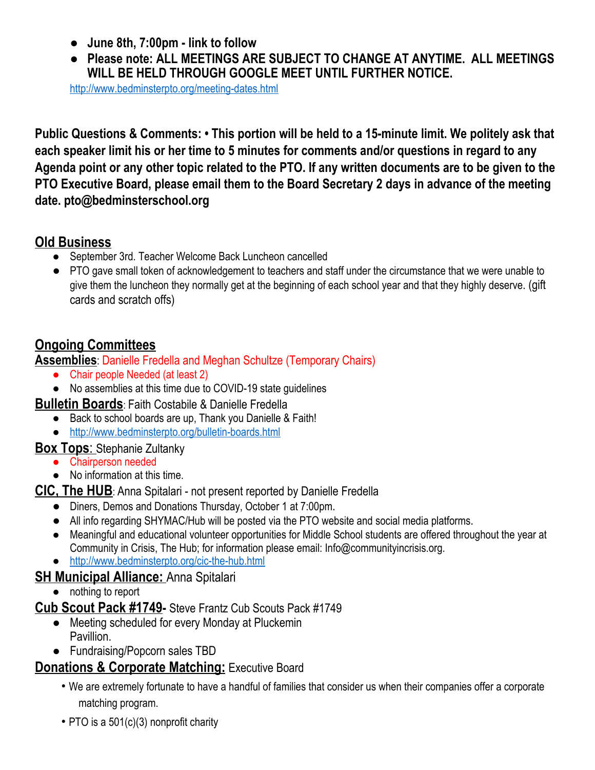- **● June 8th, 7:00pm - link to follow**
- **● Please note: ALL MEETINGS ARE SUBJECT TO CHANGE AT ANYTIME. ALL MEETINGS WILL BE HELD THROUGH GOOGLE MEET UNTIL FURTHER NOTICE.**

<http://www.bedminsterpto.org/meeting-dates.html>

Public Questions & Comments: • This portion will be held to a 15-minute limit. We politely ask that **each speaker limit his or her time to 5 minutes for comments and/or questions in regard to any** Agenda point or any other topic related to the PTO. If any written documents are to be given to the **PTO Executive Board, please email them to the Board Secretary 2 days in advance of the meeting date. pto@bedminsterschool.org**

# **Old Business**

- September 3rd. Teacher Welcome Back Luncheon cancelled
- PTO gave small token of acknowledgement to teachers and staff under the circumstance that we were unable to give them the luncheon they normally get at the beginning of each school year and that they highly deserve. (gift cards and scratch offs)

# **Ongoing Committees**

**Assemblies**: Danielle Fredella and Meghan Schultze (Temporary Chairs)

- Chair people Needed (at least 2)
- No assemblies at this time due to COVID-19 state guidelines

**Bulletin Boards**: Faith Costabile & Danielle Fredella

- Back to school boards are up, Thank you Danielle & Faith!
- <http://www.bedminsterpto.org/bulletin-boards.html>

# **Box Tops**: Stephanie Zultanky

- Chairperson needed
- No information at this time.

# **CIC, The HUB**: Anna Spitalari - not present reported by Danielle Fredella

- Diners, Demos and Donations Thursday, October 1 at 7:00pm.
- All info regarding SHYMAC/Hub will be posted via the PTO website and social media platforms.
- Meaningful and educational volunteer opportunities for Middle School students are offered throughout the year at Community in Crisis, The Hub; for information please email: Info@communityincrisis.org.
- <http://www.bedminsterpto.org/cic-the-hub.html>

# **SH Municipal Alliance:** Anna Spitalari

● nothing to report

# **Cub Scout Pack #1749-** Steve Frantz Cub Scouts Pack #1749

- Meeting scheduled for every Monday at Pluckemin Pavillion.
- Fundraising/Popcorn sales TBD

# **Donations & Corporate Matching: Executive Board**

- We are extremely fortunate to have a handful of families that consider us when their companies offer a corporate matching program.
- PTO is a 501(c)(3) nonprofit charity